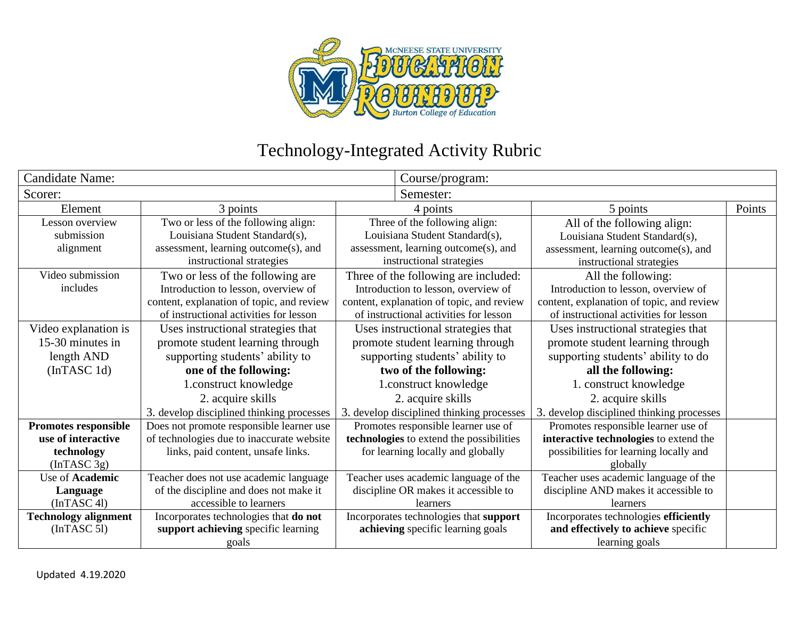

## Technology-Integrated Activity Rubric

| Candidate Name:             |                                           | Course/program:                           |                                           |                                           |        |
|-----------------------------|-------------------------------------------|-------------------------------------------|-------------------------------------------|-------------------------------------------|--------|
| Scorer:                     |                                           |                                           | Semester:                                 |                                           |        |
| Element                     | 3 points                                  | 4 points                                  |                                           | 5 points                                  | Points |
| Lesson overview             | Two or less of the following align:       | Three of the following align:             |                                           | All of the following align:               |        |
| submission                  | Louisiana Student Standard(s),            | Louisiana Student Standard(s),            |                                           | Louisiana Student Standard(s),            |        |
| alignment                   | assessment, learning outcome(s), and      | assessment, learning outcome(s), and      |                                           | assessment, learning outcome(s), and      |        |
|                             | instructional strategies                  | instructional strategies                  |                                           | instructional strategies                  |        |
| Video submission            | Two or less of the following are          | Three of the following are included:      |                                           | All the following:                        |        |
| includes                    | Introduction to lesson, overview of       | Introduction to lesson, overview of       |                                           | Introduction to lesson, overview of       |        |
|                             | content, explanation of topic, and review | content, explanation of topic, and review |                                           | content, explanation of topic, and review |        |
|                             | of instructional activities for lesson    | of instructional activities for lesson    |                                           | of instructional activities for lesson    |        |
| Video explanation is        | Uses instructional strategies that        | Uses instructional strategies that        |                                           | Uses instructional strategies that        |        |
| 15-30 minutes in            | promote student learning through          | promote student learning through          |                                           | promote student learning through          |        |
| length AND                  | supporting students' ability to           | supporting students' ability to           |                                           | supporting students' ability to do        |        |
| (InTASC 1d)                 | one of the following:                     | two of the following:                     |                                           | all the following:                        |        |
|                             | 1.construct knowledge                     |                                           | 1.construct knowledge                     | 1. construct knowledge                    |        |
|                             | 2. acquire skills                         |                                           | 2. acquire skills                         | 2. acquire skills                         |        |
|                             | 3. develop disciplined thinking processes |                                           | 3. develop disciplined thinking processes | 3. develop disciplined thinking processes |        |
| Promotes responsible        | Does not promote responsible learner use  |                                           | Promotes responsible learner use of       | Promotes responsible learner use of       |        |
| use of interactive          | of technologies due to inaccurate website |                                           | technologies to extend the possibilities  | interactive technologies to extend the    |        |
| technology                  | links, paid content, unsafe links.        |                                           | for learning locally and globally         | possibilities for learning locally and    |        |
| (InTASC 3g)                 |                                           |                                           |                                           | globally                                  |        |
| Use of Academic             | Teacher does not use academic language    |                                           | Teacher uses academic language of the     | Teacher uses academic language of the     |        |
| Language                    | of the discipline and does not make it    |                                           | discipline OR makes it accessible to      | discipline AND makes it accessible to     |        |
| (InTASC 4l)                 | accessible to learners                    |                                           | learners                                  | learners                                  |        |
| <b>Technology alignment</b> | Incorporates technologies that do not     |                                           | Incorporates technologies that support    | Incorporates technologies efficiently     |        |
| (InTASC 5]                  | support achieving specific learning       |                                           | achieving specific learning goals         | and effectively to achieve specific       |        |
|                             | goals                                     |                                           |                                           | learning goals                            |        |